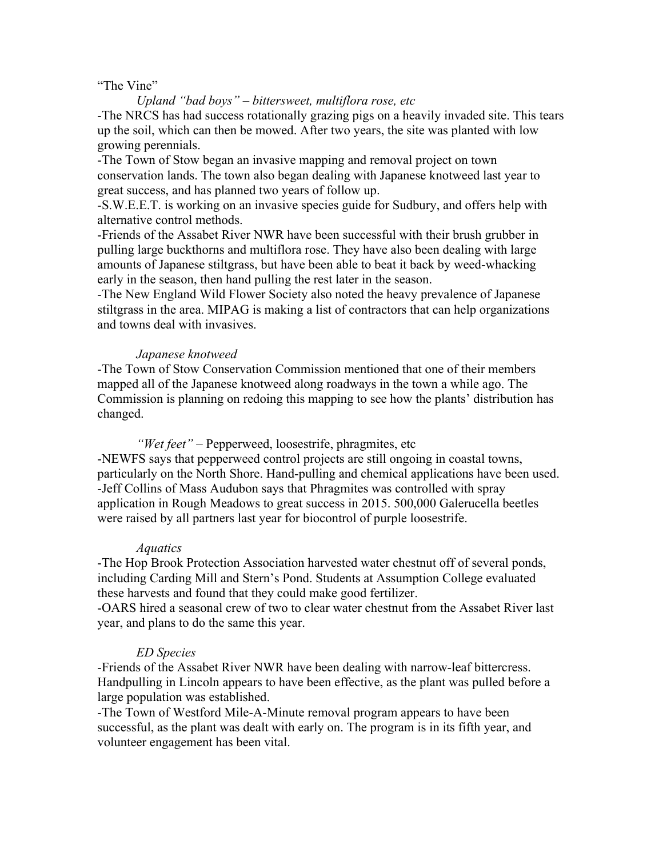### "The Vine"

*Upland "bad boys" – bittersweet, multiflora rose, etc* -The NRCS has had success rotationally grazing pigs on a heavily invaded site. This tears up the soil, which can then be mowed. After two years, the site was planted with low growing perennials.

-The Town of Stow began an invasive mapping and removal project on town conservation lands. The town also began dealing with Japanese knotweed last year to great success, and has planned two years of follow up.

-S.W.E.E.T. is working on an invasive species guide for Sudbury, and offers help with alternative control methods.

-Friends of the Assabet River NWR have been successful with their brush grubber in pulling large buckthorns and multiflora rose. They have also been dealing with large amounts of Japanese stiltgrass, but have been able to beat it back by weed-whacking early in the season, then hand pulling the rest later in the season.

-The New England Wild Flower Society also noted the heavy prevalence of Japanese stiltgrass in the area. MIPAG is making a list of contractors that can help organizations and towns deal with invasives.

## *Japanese knotweed*

-The Town of Stow Conservation Commission mentioned that one of their members mapped all of the Japanese knotweed along roadways in the town a while ago. The Commission is planning on redoing this mapping to see how the plants' distribution has changed.

*"Wet feet"* – Pepperweed, loosestrife, phragmites, etc

-NEWFS says that pepperweed control projects are still ongoing in coastal towns, particularly on the North Shore. Hand-pulling and chemical applications have been used. -Jeff Collins of Mass Audubon says that Phragmites was controlled with spray application in Rough Meadows to great success in 2015. 500,000 Galerucella beetles were raised by all partners last year for biocontrol of purple loosestrife.

## *Aquatics*

-The Hop Brook Protection Association harvested water chestnut off of several ponds, including Carding Mill and Stern's Pond. Students at Assumption College evaluated these harvests and found that they could make good fertilizer.

-OARS hired a seasonal crew of two to clear water chestnut from the Assabet River last year, and plans to do the same this year.

## *ED Species*

-Friends of the Assabet River NWR have been dealing with narrow-leaf bittercress. Handpulling in Lincoln appears to have been effective, as the plant was pulled before a large population was established.

-The Town of Westford Mile-A-Minute removal program appears to have been successful, as the plant was dealt with early on. The program is in its fifth year, and volunteer engagement has been vital.